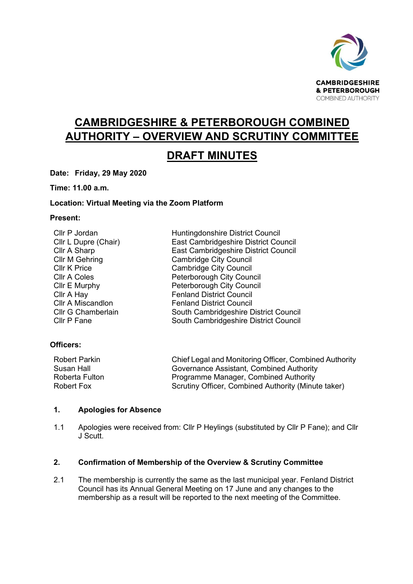

# **CAMBRIDGESHIRE & PETERBOROUGH COMBINED AUTHORITY – OVERVIEW AND SCRUTINY COMMITTEE**

# **DRAFT MINUTES**

**Date: Friday, 29 May 2020**

**Time: 11.00 a.m.** 

# **Location: Virtual Meeting via the Zoom Platform**

## **Present:**

| Cllr P Jordan             | Huntingdonshire District Council      |
|---------------------------|---------------------------------------|
| Cllr L Dupre (Chair)      | East Cambridgeshire District Council  |
| Cllr A Sharp              | East Cambridgeshire District Council  |
| <b>Cllr M Gehring</b>     | <b>Cambridge City Council</b>         |
| <b>CIIr K Price</b>       | <b>Cambridge City Council</b>         |
| <b>CIIr A Coles</b>       | Peterborough City Council             |
| Cllr E Murphy             | Peterborough City Council             |
| Cllr A Hay                | <b>Fenland District Council</b>       |
| <b>Cllr A Miscandlon</b>  | <b>Fenland District Council</b>       |
| <b>Cllr G Chamberlain</b> | South Cambridgeshire District Council |
| Cllr P Fane               | South Cambridgeshire District Council |

# **Officers:**

| <b>Robert Parkin</b> | Chief Legal and Monitoring Officer, Combined Authority |
|----------------------|--------------------------------------------------------|
| Susan Hall           | Governance Assistant, Combined Authority               |
| Roberta Fulton       | Programme Manager, Combined Authority                  |
| Robert Fox           | Scrutiny Officer, Combined Authority (Minute taker)    |

# **1. Apologies for Absence**

1.1 Apologies were received from: Cllr P Heylings (substituted by Cllr P Fane); and Cllr J Scutt.

# **2. Confirmation of Membership of the Overview & Scrutiny Committee**

2.1 The membership is currently the same as the last municipal year. Fenland District Council has its Annual General Meeting on 17 June and any changes to the membership as a result will be reported to the next meeting of the Committee.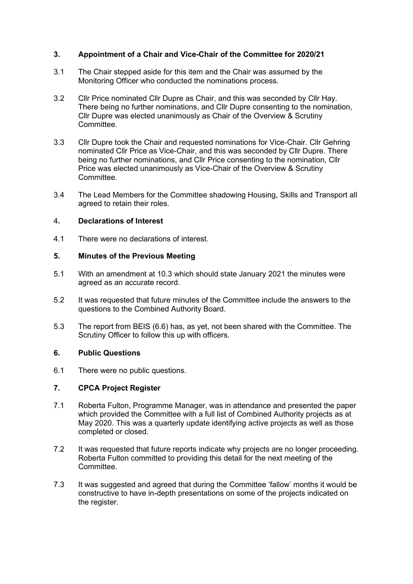# **3. Appointment of a Chair and Vice-Chair of the Committee for 2020/21**

- 3.1 The Chair stepped aside for this item and the Chair was assumed by the Monitoring Officer who conducted the nominations process.
- 3.2 Cllr Price nominated Cllr Dupre as Chair, and this was seconded by Cllr Hay. There being no further nominations, and Cllr Dupre consenting to the nomination, Cllr Dupre was elected unanimously as Chair of the Overview & Scrutiny Committee.
- 3.3 Cllr Dupre took the Chair and requested nominations for Vice-Chair. Cllr Gehring nominated Cllr Price as Vice-Chair, and this was seconded by Cllr Dupre. There being no further nominations, and Cllr Price consenting to the nomination, Cllr Price was elected unanimously as Vice-Chair of the Overview & Scrutiny **Committee.**
- 3.4 The Lead Members for the Committee shadowing Housing, Skills and Transport all agreed to retain their roles.

# 4**. Declarations of Interest**

4.1 There were no declarations of interest.

#### **5. Minutes of the Previous Meeting**

- 5.1 With an amendment at 10.3 which should state January 2021 the minutes were agreed as an accurate record.
- 5.2 It was requested that future minutes of the Committee include the answers to the questions to the Combined Authority Board.
- 5.3 The report from BEIS (6.6) has, as yet, not been shared with the Committee. The Scrutiny Officer to follow this up with officers.

# **6. Public Questions**

6.1 There were no public questions.

# **7. CPCA Project Register**

- 7.1 Roberta Fulton, Programme Manager, was in attendance and presented the paper which provided the Committee with a full list of Combined Authority projects as at May 2020. This was a quarterly update identifying active projects as well as those completed or closed.
- 7.2 It was requested that future reports indicate why projects are no longer proceeding. Roberta Fulton committed to providing this detail for the next meeting of the Committee.
- 7.3 It was suggested and agreed that during the Committee 'fallow' months it would be constructive to have in-depth presentations on some of the projects indicated on the register.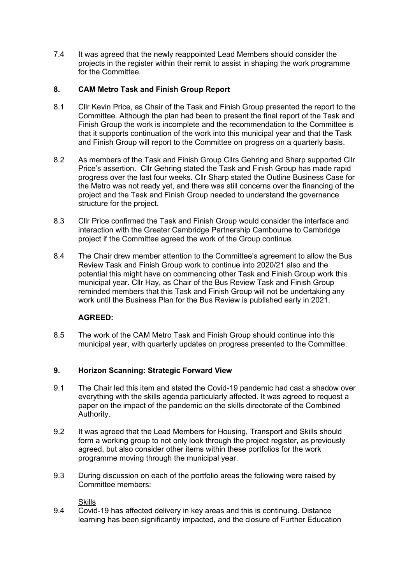7.4 It was agreed that the newly reappointed Lead Members should consider the projects in the register within their remit to assist in shaping the work programme for the Committee.

# **8. CAM Metro Task and Finish Group Report**

- 8.1 Cllr Kevin Price, as Chair of the Task and Finish Group presented the report to the Committee. Although the plan had been to present the final report of the Task and Finish Group the work is incomplete and the recommendation to the Committee is that it supports continuation of the work into this municipal year and that the Task and Finish Group will report to the Committee on progress on a quarterly basis.
- 8.2 As members of the Task and Finish Group Cllrs Gehring and Sharp supported Cllr Price's assertion. Cllr Gehring stated the Task and Finish Group has made rapid progress over the last four weeks. Cllr Sharp stated the Outline Business Case for the Metro was not ready yet, and there was still concerns over the financing of the project and the Task and Finish Group needed to understand the governance structure for the project.
- 8.3 Cllr Price confirmed the Task and Finish Group would consider the interface and interaction with the Greater Cambridge Partnership Cambourne to Cambridge project if the Committee agreed the work of the Group continue.
- 8.4 The Chair drew member attention to the Committee's agreement to allow the Bus Review Task and Finish Group work to continue into 2020/21 also and the potential this might have on commencing other Task and Finish Group work this municipal year. Cllr Hay, as Chair of the Bus Review Task and Finish Group reminded members that this Task and Finish Group will not be undertaking any work until the Business Plan for the Bus Review is published early in 2021.

# **AGREED:**

8.5 The work of the CAM Metro Task and Finish Group should continue into this municipal year, with quarterly updates on progress presented to the Committee.

# **9. Horizon Scanning: Strategic Forward View**

- 9.1 The Chair led this item and stated the Covid-19 pandemic had cast a shadow over everything with the skills agenda particularly affected. It was agreed to request a paper on the impact of the pandemic on the skills directorate of the Combined Authority.
- 9.2 It was agreed that the Lead Members for Housing, Transport and Skills should form a working group to not only look through the project register, as previously agreed, but also consider other items within these portfolios for the work programme moving through the municipal year.
- 9.3 During discussion on each of the portfolio areas the following were raised by Committee members:

**Skills** 

9.4 Covid-19 has affected delivery in key areas and this is continuing. Distance learning has been significantly impacted, and the closure of Further Education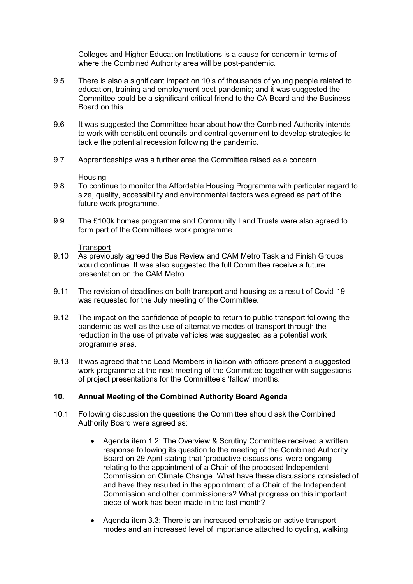Colleges and Higher Education Institutions is a cause for concern in terms of where the Combined Authority area will be post-pandemic.

- 9.5 There is also a significant impact on 10's of thousands of young people related to education, training and employment post-pandemic; and it was suggested the Committee could be a significant critical friend to the CA Board and the Business Board on this.
- 9.6 It was suggested the Committee hear about how the Combined Authority intends to work with constituent councils and central government to develop strategies to tackle the potential recession following the pandemic.
- 9.7 Apprenticeships was a further area the Committee raised as a concern.

#### Housing

- 9.8 To continue to monitor the Affordable Housing Programme with particular regard to size, quality, accessibility and environmental factors was agreed as part of the future work programme.
- 9.9 The £100k homes programme and Community Land Trusts were also agreed to form part of the Committees work programme.

## **Transport**

- 9.10 As previously agreed the Bus Review and CAM Metro Task and Finish Groups would continue. It was also suggested the full Committee receive a future presentation on the CAM Metro.
- 9.11 The revision of deadlines on both transport and housing as a result of Covid-19 was requested for the July meeting of the Committee.
- 9.12 The impact on the confidence of people to return to public transport following the pandemic as well as the use of alternative modes of transport through the reduction in the use of private vehicles was suggested as a potential work programme area.
- 9.13 It was agreed that the Lead Members in liaison with officers present a suggested work programme at the next meeting of the Committee together with suggestions of project presentations for the Committee's 'fallow' months.

# **10. Annual Meeting of the Combined Authority Board Agenda**

- 10.1 Following discussion the questions the Committee should ask the Combined Authority Board were agreed as:
	- Agenda item 1.2: The Overview & Scrutiny Committee received a written response following its question to the meeting of the Combined Authority Board on 29 April stating that 'productive discussions' were ongoing relating to the appointment of a Chair of the proposed Independent Commission on Climate Change. What have these discussions consisted of and have they resulted in the appointment of a Chair of the Independent Commission and other commissioners? What progress on this important piece of work has been made in the last month?
	- Agenda item 3.3: There is an increased emphasis on active transport modes and an increased level of importance attached to cycling, walking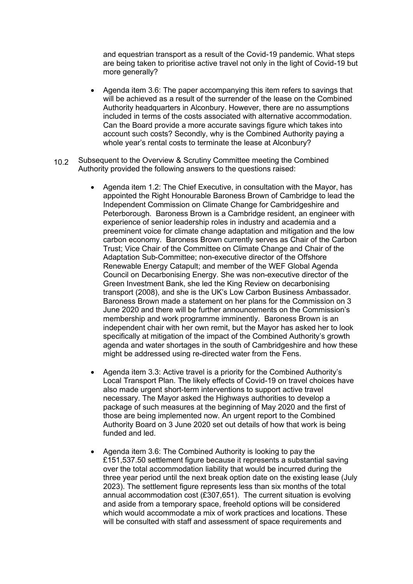and equestrian transport as a result of the Covid-19 pandemic. What steps are being taken to prioritise active travel not only in the light of Covid-19 but more generally?

- Agenda item 3.6: The paper accompanying this item refers to savings that will be achieved as a result of the surrender of the lease on the Combined Authority headquarters in Alconbury. However, there are no assumptions included in terms of the costs associated with alternative accommodation. Can the Board provide a more accurate savings figure which takes into account such costs? Secondly, why is the Combined Authority paying a whole year's rental costs to terminate the lease at Alconbury?
- $10.2<sub>2</sub>$ Subsequent to the Overview & Scrutiny Committee meeting the Combined Authority provided the following answers to the questions raised:
	- Agenda item 1.2: The Chief Executive, in consultation with the Mayor, has appointed the Right Honourable Baroness Brown of Cambridge to lead the Independent Commission on Climate Change for Cambridgeshire and Peterborough. Baroness Brown is a Cambridge resident, an engineer with experience of senior leadership roles in industry and academia and a preeminent voice for climate change adaptation and mitigation and the low carbon economy. Baroness Brown currently serves as Chair of the Carbon Trust; Vice Chair of the Committee on Climate Change and Chair of the Adaptation Sub-Committee; non-executive director of the Offshore Renewable Energy Catapult; and member of the WEF Global Agenda Council on Decarbonising Energy. She was non-executive director of the Green Investment Bank, she led the King Review on decarbonising transport (2008), and she is the UK's Low Carbon Business Ambassador. Baroness Brown made a statement on her plans for the Commission on 3 June 2020 and there will be further announcements on the Commission's membership and work programme imminently. Baroness Brown is an independent chair with her own remit, but the Mayor has asked her to look specifically at mitigation of the impact of the Combined Authority's growth agenda and water shortages in the south of Cambridgeshire and how these might be addressed using re-directed water from the Fens.
	- Agenda item 3.3: Active travel is a priority for the Combined Authority's Local Transport Plan. The likely effects of Covid-19 on travel choices have also made urgent short-term interventions to support active travel necessary. The Mayor asked the Highways authorities to develop a package of such measures at the beginning of May 2020 and the first of those are being implemented now. An urgent report to the Combined Authority Board on 3 June 2020 set out details of how that work is being funded and led.
	- Agenda item 3.6: The Combined Authority is looking to pay the £151,537.50 settlement figure because it represents a substantial saving over the total accommodation liability that would be incurred during the three year period until the next break option date on the existing lease (July 2023). The settlement figure represents less than six months of the total annual accommodation cost (£307,651). The current situation is evolving and aside from a temporary space, freehold options will be considered which would accommodate a mix of work practices and locations. These will be consulted with staff and assessment of space requirements and